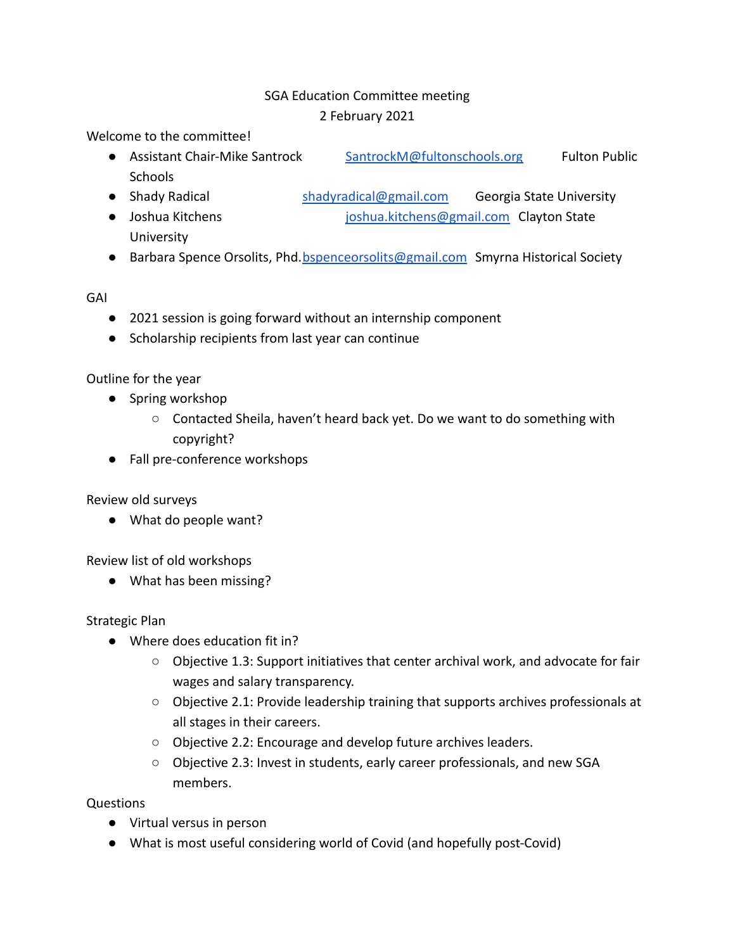## SGA Education Committee meeting 2 February 2021

Welcome to the committee!

- Assistant Chair-Mike Santrock [SantrockM@fultonschools.org](mailto:SantrockM@fultonschools.org) Fulton Public **Schools**
- Shady Radical [shadyradical@gmail.com](mailto:shadyradical@gmail.com) Georgia State University
- Joshua Kitchens [joshua.kitchens@gmail.com](mailto:joshua.kitchens@gmail.com) Clayton State University
- Barbara Spence Orsolits, Phd. [bspenceorsolits@gmail.com](mailto:bspenceorsolits@gmail.com) Smyrna Historical Society

GAI

- 2021 session is going forward without an internship component
- Scholarship recipients from last year can continue

Outline for the year

- Spring workshop
	- Contacted Sheila, haven't heard back yet. Do we want to do something with copyright?
- Fall pre-conference workshops

Review old surveys

● What do people want?

Review list of old workshops

● What has been missing?

## Strategic Plan

- Where does education fit in?
	- Objective 1.3: Support initiatives that center archival work, and advocate for fair wages and salary transparency.
	- Objective 2.1: Provide leadership training that supports archives professionals at all stages in their careers.
	- Objective 2.2: Encourage and develop future archives leaders.
	- Objective 2.3: Invest in students, early career professionals, and new SGA members.

Questions

- Virtual versus in person
- What is most useful considering world of Covid (and hopefully post-Covid)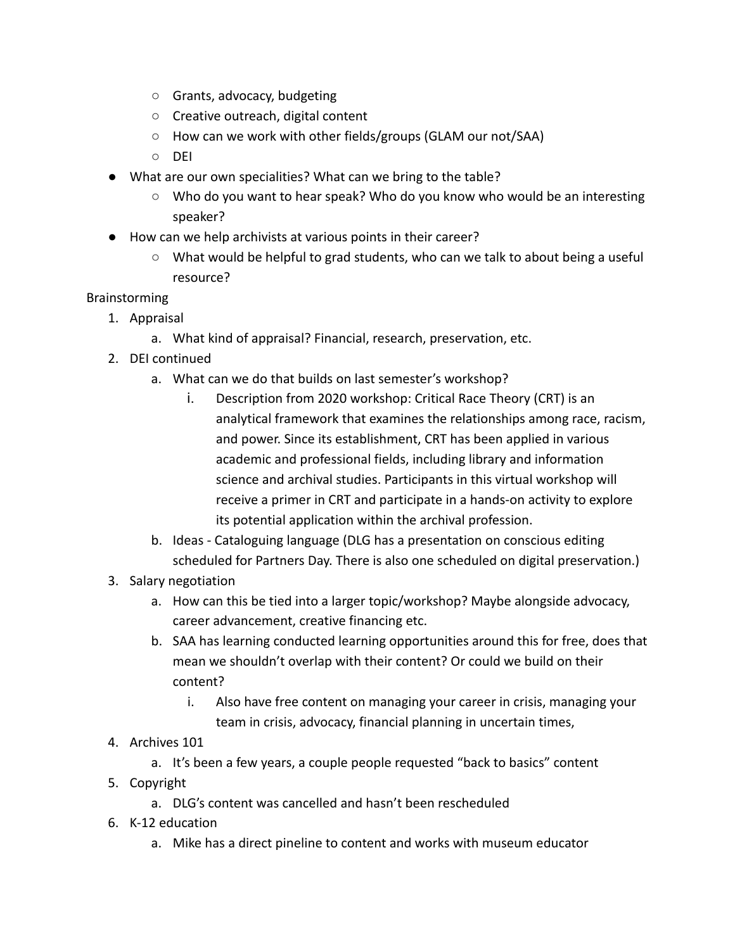- Grants, advocacy, budgeting
- Creative outreach, digital content
- How can we work with other fields/groups (GLAM our not/SAA)
- DEI
- What are our own specialities? What can we bring to the table?
	- Who do you want to hear speak? Who do you know who would be an interesting speaker?
- How can we help archivists at various points in their career?
	- What would be helpful to grad students, who can we talk to about being a useful resource?

## Brainstorming

- 1. Appraisal
	- a. What kind of appraisal? Financial, research, preservation, etc.
- 2. DEI continued
	- a. What can we do that builds on last semester's workshop?
		- i. Description from 2020 workshop: Critical Race Theory (CRT) is an analytical framework that examines the relationships among race, racism, and power. Since its establishment, CRT has been applied in various academic and professional fields, including library and information science and archival studies. Participants in this virtual workshop will receive a primer in CRT and participate in a hands-on activity to explore its potential application within the archival profession.
	- b. Ideas Cataloguing language (DLG has a presentation on conscious editing scheduled for Partners Day. There is also one scheduled on digital preservation.)
- 3. Salary negotiation
	- a. How can this be tied into a larger topic/workshop? Maybe alongside advocacy, career advancement, creative financing etc.
	- b. SAA has learning conducted learning opportunities around this for free, does that mean we shouldn't overlap with their content? Or could we build on their content?
		- i. Also have free content on managing your career in crisis, managing your team in crisis, advocacy, financial planning in uncertain times,
- 4. Archives 101
	- a. It's been a few years, a couple people requested "back to basics" content
- 5. Copyright
	- a. DLG's content was cancelled and hasn't been rescheduled
- 6. K-12 education
	- a. Mike has a direct pineline to content and works with museum educator